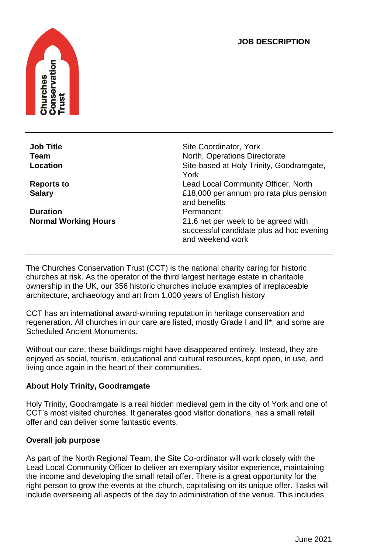### **JOB DESCRIPTION**



**Duration** Permanent

**Job Title** Site Coordinator, York<br> **Team**<br>
North, Operations Directory **North, Operations Directorate Location Contract Contract Contract Contract Contract Site-based at Holy Trinity, Goodramgate,** York **Reports to Community Officer, North Lead Local Community Officer, North Salary** £18,000 per annum pro rata plus pension and benefits **Normal Working Hours** 21.6 net per week to be agreed with successful candidate plus ad hoc evening and weekend work

The Churches Conservation Trust (CCT) is the national charity caring for historic churches at risk. As the operator of the third largest heritage estate in charitable ownership in the UK, our 356 historic churches include examples of irreplaceable architecture, archaeology and art from 1,000 years of English history.

CCT has an international award-winning reputation in heritage conservation and regeneration. All churches in our care are listed, mostly Grade I and II\*, and some are Scheduled Ancient Monuments.

Without our care, these buildings might have disappeared entirely. Instead, they are enjoyed as social, tourism, educational and cultural resources, kept open, in use, and living once again in the heart of their communities.

# **About Holy Trinity, Goodramgate**

Holy Trinity, Goodramgate is a real hidden medieval gem in the city of York and one of CCT's most visited churches. It generates good visitor donations, has a small retail offer and can deliver some fantastic events.

#### **Overall job purpose**

As part of the North Regional Team, the Site Co-ordinator will work closely with the Lead Local Community Officer to deliver an exemplary visitor experience, maintaining the income and developing the small retail offer. There is a great opportunity for the right person to grow the events at the church, capitalising on its unique offer. Tasks will include overseeing all aspects of the day to administration of the venue. This includes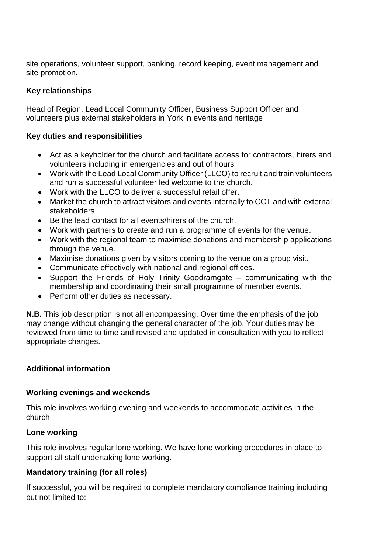site operations, volunteer support, banking, record keeping, event management and site promotion.

# **Key relationships**

Head of Region, Lead Local Community Officer, Business Support Officer and volunteers plus external stakeholders in York in events and heritage

#### **Key duties and responsibilities**

- Act as a keyholder for the church and facilitate access for contractors, hirers and volunteers including in emergencies and out of hours
- Work with the Lead Local Community Officer (LLCO) to recruit and train volunteers and run a successful volunteer led welcome to the church.
- Work with the LLCO to deliver a successful retail offer.
- Market the church to attract visitors and events internally to CCT and with external stakeholders
- Be the lead contact for all events/hirers of the church.
- Work with partners to create and run a programme of events for the venue.
- Work with the regional team to maximise donations and membership applications through the venue.
- Maximise donations given by visitors coming to the venue on a group visit.
- Communicate effectively with national and regional offices.
- Support the Friends of Holy Trinity Goodramgate communicating with the membership and coordinating their small programme of member events.
- Perform other duties as necessary.

**N.B.** This job description is not all encompassing. Over time the emphasis of the job may change without changing the general character of the job. Your duties may be reviewed from time to time and revised and updated in consultation with you to reflect appropriate changes.

# **Additional information**

#### **Working evenings and weekends**

This role involves working evening and weekends to accommodate activities in the church.

#### **Lone working**

This role involves regular lone working. We have lone working procedures in place to support all staff undertaking lone working.

# **Mandatory training (for all roles)**

If successful, you will be required to complete mandatory compliance training including but not limited to: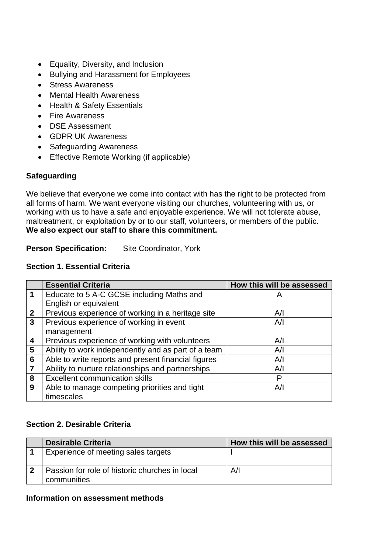- Equality, Diversity, and Inclusion
- Bullying and Harassment for Employees
- Stress Awareness
- Mental Health Awareness
- Health & Safety Essentials
- Fire Awareness
- DSE Assessment
- GDPR UK Awareness
- Safeguarding Awareness
- Effective Remote Working (if applicable)

### **Safeguarding**

We believe that everyone we come into contact with has the right to be protected from all forms of harm. We want everyone visiting our churches, volunteering with us, or working with us to have a safe and enjoyable experience. We will not tolerate abuse, maltreatment, or exploitation by or to our staff, volunteers, or members of the public. **We also expect our staff to share this commitment.** 

**Person Specification:** Site Coordinator, York

#### **Section 1. Essential Criteria**

|                 | <b>Essential Criteria</b>                           | How this will be assessed |
|-----------------|-----------------------------------------------------|---------------------------|
| 1               | Educate to 5 A-C GCSE including Maths and           | Α                         |
|                 | English or equivalent                               |                           |
| $\mathbf{2}$    | Previous experience of working in a heritage site   | A/I                       |
| 3               | Previous experience of working in event             | A/I                       |
|                 | management                                          |                           |
| 4               | Previous experience of working with volunteers      | A/I                       |
| 5               | Ability to work independently and as part of a team | A/I                       |
| $6\phantom{1}6$ | Able to write reports and present financial figures | A/I                       |
| $\overline{7}$  | Ability to nurture relationships and partnerships   | A/I                       |
| 8               | <b>Excellent communication skills</b>               | P                         |
| 9               | Able to manage competing priorities and tight       | A/I                       |
|                 | timescales                                          |                           |

# **Section 2. Desirable Criteria**

| <b>Desirable Criteria</b>                                     | How this will be assessed |
|---------------------------------------------------------------|---------------------------|
| Experience of meeting sales targets                           |                           |
| Passion for role of historic churches in local<br>communities | Α⁄Ι                       |

#### **Information on assessment methods**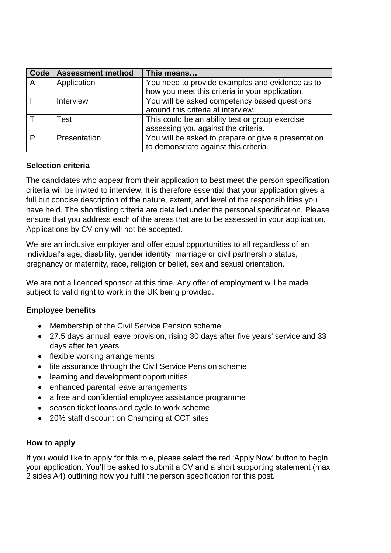| <b>Code</b> | <b>Assessment method</b> | This means                                          |
|-------------|--------------------------|-----------------------------------------------------|
| A           | Application              | You need to provide examples and evidence as to     |
|             |                          | how you meet this criteria in your application.     |
|             | Interview                | You will be asked competency based questions        |
|             |                          | around this criteria at interview.                  |
|             | Test                     | This could be an ability test or group exercise     |
|             |                          | assessing you against the criteria.                 |
| D           | Presentation             | You will be asked to prepare or give a presentation |
|             |                          | to demonstrate against this criteria.               |

# **Selection criteria**

The candidates who appear from their application to best meet the person specification criteria will be invited to interview. It is therefore essential that your application gives a full but concise description of the nature, extent, and level of the responsibilities you have held. The shortlisting criteria are detailed under the personal specification. Please ensure that you address each of the areas that are to be assessed in your application. Applications by CV only will not be accepted.

We are an inclusive employer and offer equal opportunities to all regardless of an individual's age, disability, gender identity, marriage or civil partnership status, pregnancy or maternity, race, religion or belief, sex and sexual orientation.

We are not a licenced sponsor at this time. Any offer of employment will be made subject to valid right to work in the UK being provided.

# **Employee benefits**

- Membership of the Civil Service Pension scheme
- 27.5 days annual leave provision, rising 30 days after five years' service and 33 days after ten years
- flexible working arrangements
- life assurance through the Civil Service Pension scheme
- learning and development opportunities
- enhanced parental leave arrangements
- a free and confidential employee assistance programme
- season ticket loans and cycle to work scheme
- 20% staff discount on Champing at CCT sites

#### **How to apply**

If you would like to apply for this role, please select the red 'Apply Now' button to begin your application. You'll be asked to submit a CV and a short supporting statement (max 2 sides A4) outlining how you fulfil the person specification for this post.